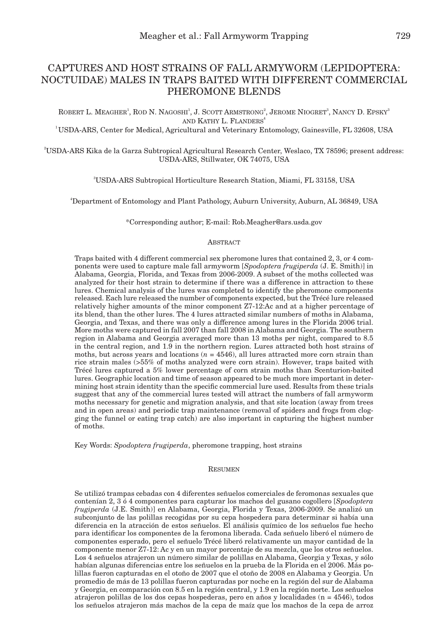ROBERT L. MEAGHER<sup>1</sup>, ROD N. NAGOSHI<sup>1</sup>, J. SCOTT ARMSTRONG<sup>2</sup>, JEROME NIOGRET<sup>3</sup>, NANCY D. EPSKY<sup>3</sup> and Kathy L. FLANDERS<sup>4</sup>

1 USDA-ARS, Center for Medical, Agricultural and Veterinary Entomology, Gainesville, FL 32608, USA

2 USDA-ARS Kika de la Garza Subtropical Agricultural Research Center, Weslaco, TX 78596; present address: USDA-ARS, Stillwater, OK 74075, USA

3 USDA-ARS Subtropical Horticulture Research Station, Miami, FL 33158, USA

4 Department of Entomology and Plant Pathology, Auburn University, Auburn, AL 36849, USA

\*Corresponding author; E-mail: Rob.Meagher@ars.usda.gov

# **ABSTRACT**

Traps baited with 4 different commercial sex pheromone lures that contained 2, 3, or 4 components were used to capture male fall armyworm [*Spodoptera frugiperda* (J. E. Smith)] in Alabama, Georgia, Florida, and Texas from 2006-2009. A subset of the moths collected was analyzed for their host strain to determine if there was a difference in attraction to these lures. Chemical analysis of the lures was completed to identify the pheromone components released. Each lure released the number of components expected, but the Trécé lure released relatively higher amounts of the minor component Z7-12:Ac and at a higher percentage of its blend, than the other lures. The 4 lures attracted similar numbers of moths in Alabama, Georgia, and Texas, and there was only a difference among lures in the Florida 2006 trial. More moths were captured in fall 2007 than fall 2008 in Alabama and Georgia. The southern region in Alabama and Georgia averaged more than 13 moths per night, compared to 8.5 in the central region, and 1.9 in the northern region. Lures attracted both host strains of moths, but across years and locations  $(n = 4546)$ , all lures attracted more corn strain than rice strain males (>55% of moths analyzed were corn strain). However, traps baited with Trécé lures captured a 5% lower percentage of corn strain moths than Scenturion-baited lures. Geographic location and time of season appeared to be much more important in determining host strain identity than the specific commercial lure used. Results from these trials suggest that any of the commercial lures tested will attract the numbers of fall armyworm moths necessary for genetic and migration analysis, and that site location (away from trees and in open areas) and periodic trap maintenance (removal of spiders and frogs from clogging the funnel or eating trap catch) are also important in capturing the highest number of moths.

Key Words: *Spodoptera frugiperda*, pheromone trapping, host strains

#### **RESUMEN**

Se utilizó trampas cebadas con 4 diferentes señuelos comerciales de feromonas sexuales que contenían 2, 3 ó 4 componentes para capturar los machos del gusano cogollero [*Spodoptera frugiperda* (J.E. Smith)] en Alabama, Georgia, Florida y Texas, 2006-2009. Se analizó un subconjunto de las polillas recogidas por su cepa hospedera para determinar si había una diferencia en la atracción de estos señuelos. El análisis químico de los señuelos fue hecho para identificar los componentes de la feromona liberada. Cada señuelo liberó el número de componentes esperado, pero el señuelo Trécé liberó relativamente un mayor cantidad de la componente menor Z7-12: Ac y en un mayor porcentaje de su mezcla, que los otros señuelos. Los 4 señuelos atrajeron un número similar de polillas en Alabama, Georgia y Texas, y sólo habían algunas diferencias entre los señuelos en la prueba de la Florida en el 2006. Más polillas fueron capturadas en el otoño de 2007 que el otoño de 2008 en Alabama y Georgia. Un promedio de más de 13 polillas fueron capturadas por noche en la región del sur de Alabama y Georgia, en comparación con 8.5 en la región central, y 1.9 en la región norte. Los señuelos atrajeron polillas de los dos cepas hospederas, pero en años y localidades (n = 4546), todos los señuelos atrajeron más machos de la cepa de maíz que los machos de la cepa de arroz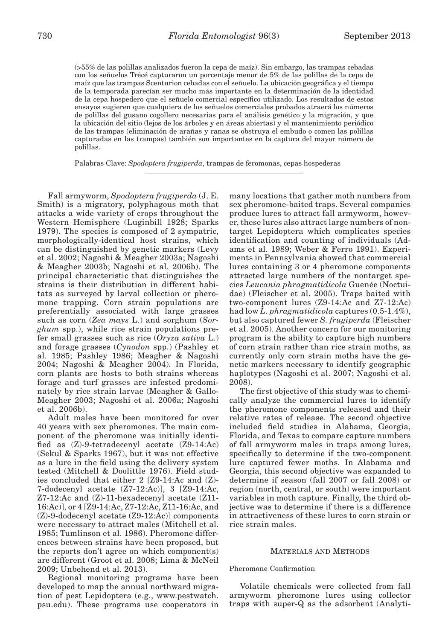(>55% de las polillas analizados fueron la cepa de maíz). Sin embargo, las trampas cebadas con los señuelos Trécé capturaron un porcentaje menor de 5% de las polillas de la cepa de maíz que las trampas Scenturion cebadas con el señuelo. La ubicación geográfica y el tiempo de la temporada parecían ser mucho más importante en la determinación de la identidad de la cepa hospedero que el señuelo comercial específico utilizado. Los resultados de estos ensayos sugieren que cualquiera de los señuelos comerciales probados atraerá los números de polillas del gusano cogollero necesarias para el análisis genético y la migración, y que la ubicación del sitio (lejos de los árboles y en áreas abiertas) y el mantenimiento periódico de las trampas (eliminación de arañas y ranas se obstruya el embudo o comen las polillas capturadas en las trampas) también son importantes en la captura del mayor número de polillas.

Palabras Clave: *Spodoptera frugiperda*, trampas de feromonas, cepas hospederas

Fall armyworm, *Spodoptera frugiperda* (J. E. Smith) is a migratory, polyphagous moth that attacks a wide variety of crops throughout the Western Hemisphere (Luginbill 1928; Sparks 1979). The species is composed of 2 sympatric, morphologically-identical host strains, which can be distinguished by genetic markers (Levy et al. 2002; Nagoshi & Meagher 2003a; Nagoshi & Meagher 2003b; Nagoshi et al. 2006b). The principal characteristic that distinguishes the strains is their distribution in different habitats as surveyed by larval collection or pheromone trapping. Corn strain populations are preferentially associated with large grasses such as corn (*Zea mays* L.) and sorghum (*Sorghum* spp.), while rice strain populations prefer small grasses such as rice (*Oryza sativa* L.) and forage grasses (*Cynodon* spp.) (Pashley et al. 1985; Pashley 1986; Meagher & Nagoshi 2004; Nagoshi & Meagher 2004). In Florida, corn plants are hosts to both strains whereas forage and turf grasses are infested predominately by rice strain larvae (Meagher & Gallo-Meagher 2003; Nagoshi et al. 2006a; Nagoshi et al. 2006b).

Adult males have been monitored for over 40 years with sex pheromones. The main component of the pheromone was initially identified as (Z)-9-tetradecenyl acetate (Z9-14:Ac) (Sekul & Sparks 1967), but it was not effective as a lure in the field using the delivery system tested (Mitchell & Doolittle 1976). Field studies concluded that either 2 [Z9-14:Ac and (Z)- 7-dodecenyl acetate (Z7-12:Ac)], 3 [Z9-14:Ac, Z7-12:Ac and (Z)-11-hexadecenyl acetate (Z11- 16:Ac)], or 4 [Z9-14:Ac, Z7-12:Ac, Z11-16:Ac, and (Z)-9-dodecenyl acetate (Z9-12:Ac)] components were necessary to attract males (Mitchell et al. 1985; Tumlinson et al. 1986). Pheromone differences between strains have been proposed, but the reports don't agree on which component(s) are different (Groot et al. 2008; Lima & McNeil 2009; Unbehend et al. 2013).

Regional monitoring programs have been developed to map the annual northward migration of pest Lepidoptera (e.g., www.pestwatch. psu.edu). These programs use cooperators in many locations that gather moth numbers from sex pheromone-baited traps. Several companies produce lures to attract fall armyworm, however, these lures also attract large numbers of nontarget Lepidoptera which complicates species identification and counting of individuals (Adams et al. 1989; Weber & Ferro 1991). Experiments in Pennsylvania showed that commercial lures containing 3 or 4 pheromone components attracted large numbers of the nontarget species *Leucania phragmatidicola* Guenée (Noctuidae) (Fleischer et al. 2005). Traps baited with two-component lures (Z9-14:Ac and Z7-12:Ac) had low *L. phragmatidicola* captures (0.5-1.4%), but also captured fewer *S. frugiperda* (Fleischer et al. 2005). Another concern for our monitoring program is the ability to capture high numbers of corn strain rather than rice strain moths, as currently only corn strain moths have the genetic markers necessary to identify geographic haplotypes (Nagoshi et al. 2007; Nagoshi et al. 2008).

The first objective of this study was to chemically analyze the commercial lures to identify the pheromone components released and their relative rates of release. The second objective included field studies in Alabama, Georgia, Florida, and Texas to compare capture numbers of fall armyworm males in traps among lures, specifically to determine if the two-component lure captured fewer moths. In Alabama and Georgia, this second objective was expanded to determine if season (fall 2007 or fall 2008) or region (north, central, or south) were important variables in moth capture. Finally, the third objective was to determine if there is a difference in attractiveness of these lures to corn strain or rice strain males.

## Materials and Methods

## Pheromone Confirmation

Volatile chemicals were collected from fall armyworm pheromone lures using collector traps with super-Q as the adsorbent (Analyti-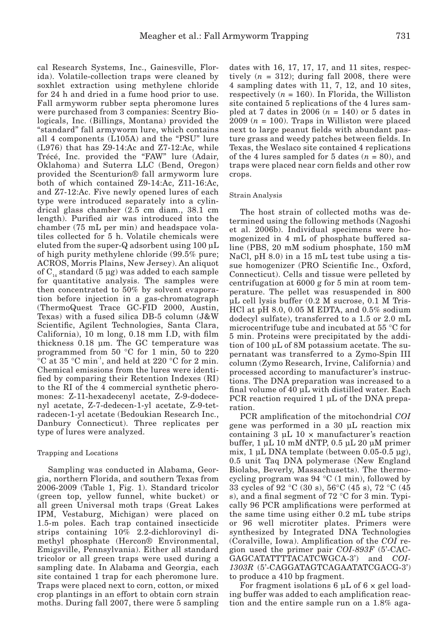cal Research Systems, Inc., Gainesville, Florida). Volatile-collection traps were cleaned by soxhlet extraction using methylene chloride for 24 h and dried in a fume hood prior to use. Fall armyworm rubber septa pheromone lures were purchased from 3 companies: Scentry Biologicals, Inc. (Billings, Montana) provided the "standard" fall armyworm lure, which contains all 4 components (L105A) and the "PSU" lure (L976) that has Z9-14:Ac and Z7-12:Ac, while Trécé, Inc. provided the "FAW" lure (Adair, Oklahoma) and Suterra LLC (Bend, Oregon) provided the Scenturion® fall armyworm lure both of which contained Z9-14:Ac, Z11-16:Ac, and Z7-12:Ac. Five newly opened lures of each type were introduced separately into a cylindrical glass chamber (2.5 cm diam., 38.1 cm length). Purified air was introduced into the chamber (75 mL per min) and headspace volatiles collected for 5 h. Volatile chemicals were eluted from the super-Q adsorbent using 100 μL of high purity methylene chloride (99.5% pure; ACROS, Morris Plains, New Jersey). An aliquot of  $C_{14}$  standard (5 µg) was added to each sample for quantitative analysis. The samples were then concentrated to 50% by solvent evaporation before injection in a gas-chromatograph (ThermoQuest Trace GC-FID 2000, Austin, Texas) with a fused silica DB-5 column (J&W Scientific, Agilent Technologies, Santa Clara, California), 10 m long, 0.18 mm I.D, with film thickness 0.18 μm. The GC temperature was programmed from 50 °C for 1 min, 50 to 220  $\rm{^{\circ}C}$  at 35  $\rm{^{\circ}C}$  min<sup>-1</sup>, and held at 220  $\rm{^{\circ}C}$  for 2 min. Chemical emissions from the lures were identified by comparing their Retention Indexes (RI) to the RI of the 4 commercial synthetic pheromones: Z-11-hexadecenyl acetate, Z-9-dodecenyl acetate, Z-7-dedecen-1-yl acetate, Z-9-tetradecen-1-yl acetate (Bedoukian Research Inc., Danbury Connecticut). Three replicates per type of lures were analyzed.

## Trapping and Locations

Sampling was conducted in Alabama, Georgia, northern Florida, and southern Texas from 2006-2009 (Table 1, Fig. 1). Standard tricolor (green top, yellow funnel, white bucket) or all green Universal moth traps (Great Lakes IPM, Vestaburg, Michigan) were placed on 1.5-m poles. Each trap contained insecticide strips containing 10% 2.2-dichlorovinyl dimethyl phosphate (Hercon® Environmental, Emigsville, Pennsylvania). Either all standard tricolor or all green traps were used during a sampling date. In Alabama and Georgia, each site contained 1 trap for each pheromone lure. Traps were placed next to corn, cotton, or mixed crop plantings in an effort to obtain corn strain moths. During fall 2007, there were 5 sampling dates with 16, 17, 17, 17, and 11 sites, respectively  $(n = 312)$ ; during fall 2008, there were 4 sampling dates with 11, 7, 12, and 10 sites, respectively  $(n = 160)$ . In Florida, the Williston site contained 5 replications of the 4 lures sampled at 7 dates in 2006  $(n = 140)$  or 5 dates in  $2009$  ( $n = 100$ ). Traps in Williston were placed next to large peanut fields with abundant pasture grass and weedy patches between fields. In Texas, the Weslaco site contained 4 replications of the 4 lures sampled for 5 dates  $(n = 80)$ , and traps were placed near corn fields and other row crops.

## Strain Analysis

The host strain of collected moths was determined using the following methods (Nagoshi et al. 2006b). Individual specimens were homogenized in 4 mL of phosphate buffered saline (PBS, 20 mM sodium phosphate, 150 mM NaCl, pH 8.0) in a 15 mL test tube using a tissue homogenizer (PRO Scientific Inc., Oxford, Connecticut). Cells and tissue were pelleted by centrifugation at 6000 g for 5 min at room temperature. The pellet was resuspended in 800 µL cell lysis buffer (0.2 M sucrose, 0.1 M Tris-HCl at pH 8.0, 0.05 M EDTA, and 0.5% sodium dodecyl sulfate), transferred to a 1.5 or 2.0 mL microcentrifuge tube and incubated at 55 °C for 5 min. Proteins were precipitated by the addition of 100 µL of 8M potassium acetate. The supernatant was transferred to a Zymo-Spin III column (Zymo Research, Irvine, California) and processed according to manufacturer's instructions. The DNA preparation was increased to a final volume of 40 µL with distilled water. Each PCR reaction required 1 µL of the DNA preparation.

PCR amplification of the mitochondrial *COI* gene was performed in a 30 µL reaction mix containing  $3 \mu L$  10  $\times$  manufacturer's reaction buffer, 1 µL 10 mM dNTP, 0.5 µL 20 µM primer mix, 1 µL DNA template (between 0.05-0.5 µg), 0.5 unit Taq DNA polymerase (New England Biolabs, Beverly, Massachusetts). The thermocycling program was 94 °C (1 min), followed by 33 cycles of 92 °C (30 s), 56°C (45 s), 72 °C (45 s), and a final segment of 72 °C for 3 min. Typically 96 PCR amplifications were performed at the same time using either 0.2 mL tube strips or 96 well microtiter plates. Primers were synthesized by Integrated DNA Technologies (Coralville, Iowa). Amplification of the *COI* region used the primer pair *COI-893F* (5'-CAC-GAGCATATTTTACATCWGCA-3') and *COI-1303R* (5'-CAGGATAGTCAGAATATCGACG-3') to produce a 410 bp fragment.

For fragment isolations 6 µL of 6 × gel loading buffer was added to each amplification reaction and the entire sample run on a 1.8% aga-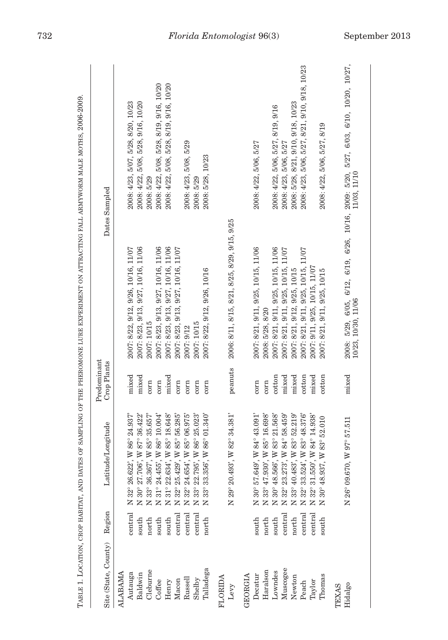| Site (State, County)      | Region         | e/Longitude<br>${\rm Latitud}$                                    | Predominant<br>Crop Plants |                                                     | Dates Sampled                                                                                                                                                                                                                                                 |
|---------------------------|----------------|-------------------------------------------------------------------|----------------------------|-----------------------------------------------------|---------------------------------------------------------------------------------------------------------------------------------------------------------------------------------------------------------------------------------------------------------------|
| <b>ALABAMA</b><br>Autauga | central        | W 86° 24.937<br>N 32° 26.622'                                     | mixed                      | 2007: 8/22, 9/12, 9/26, 10/16, 11/07                | 2008: 4/23, 5/07, 5/28, 8/20, 10/23                                                                                                                                                                                                                           |
| Cleburne<br>Baldwin       | south          | W 87° 36.422'<br>W 85° 35.657<br>N 30° 27.706',<br>N 33° 36.367', | mixed                      | 2007: 8/23, 9/13, 9/27, 10/16, 11/06<br>2007: 10/15 | 2008: 4/22, 5/08, 5/28, 9/16, 10/20<br>2008: 5/29                                                                                                                                                                                                             |
| Coffee                    | north<br>south | W 86° 10.004'<br>N 31° 24.455',                                   | corn<br>corn               | 2007: 8/23, 9/13, 9/27, 10/16, 11/06                | 2008: 4/22, 5/08, 5/28, 8/19, 9/16, 10/20                                                                                                                                                                                                                     |
| Henry                     | south          | W 85° 18.648'<br>N 31° 22.634',                                   | mixed                      | 2007: 8/23, 9/13, 9/27, 10/16, 11/06                | 2008: 4/22, 5/08, 5/28, 8/19, 9/16, 10/20                                                                                                                                                                                                                     |
| Macon                     | central        | W 85° 56.285<br>N 32° 25.429',                                    | corn                       | 2007: 8/23, 9/13, 9/27, 10/16, 11/07                |                                                                                                                                                                                                                                                               |
| Russell                   | central        | W 85° 06.975'<br>N 32° 24.654',                                   | corn                       | 2007: 9/12                                          | 2008: 4/23, 5/08, 5/29                                                                                                                                                                                                                                        |
| Shelby                    | central        | W 86° 25.023'<br>N 33° 22.795'                                    | corn                       | 2007: 10/15                                         | 2008: 5/29                                                                                                                                                                                                                                                    |
| Talladega                 | north          | $W86^{\circ}01.340^{\circ}$<br>N 33° 33.356'                      | corn                       | 2007: 8/22, 9/12, 9/26, 10/16                       | 2008: 5/28, 10/23                                                                                                                                                                                                                                             |
| FLORIDA                   |                |                                                                   |                            |                                                     |                                                                                                                                                                                                                                                               |
| Levy                      |                | W 82° 34.381'<br>N 29° 20.493',                                   | peanuts                    | 2006: 8/11, 8/15, 8/21, 8/25, 8/29, 9/15, 9/25      |                                                                                                                                                                                                                                                               |
| GEORGIA                   |                |                                                                   |                            |                                                     |                                                                                                                                                                                                                                                               |
| Decatur                   | south          | W 84° 43.091'<br>N 30° 57.649',                                   | corn                       | 2007: 8/21, 9/11, 9/25, 10/15, 11/06                | 2008: 4/22, 5/06, 5/27                                                                                                                                                                                                                                        |
| Haralson                  | north          | W 85° 16.698'<br>N 33° 47.930',                                   | corn                       | 2008: $5/28$ , $8/20$                               |                                                                                                                                                                                                                                                               |
| Lowndes                   | south          | W 83° 21.568'<br>N 30° 48.566',                                   | cotton                     | 2007: 8/21, 9/11, 9/25, 10/15, 11/06                | 2008: 4/22, 5/06, 5/27, 8/19, 9/16                                                                                                                                                                                                                            |
| Muscogee                  | central        | W 84° 58.459'<br>N 32° 23.273',                                   | mixed                      | 11/07<br>2007: 8/21, 9/11, 9/25, 10/15,             | 2008: 4/23, 5/06, 5/27                                                                                                                                                                                                                                        |
| Newton                    | north          | W 83° 52.219'<br>N 33° 40.483',                                   | mixed                      | 2007: 8/21, 9/12, 9/25, 10/15                       | 2008: 5/28, 8/21, 9/10, 9/18, 10/23                                                                                                                                                                                                                           |
| Peach                     | central        | W 83° 48.376'<br>N 32° 33.524'                                    | cotton                     | 11/07<br>2007: 8/21, 9/11, 9/25, 10/15,             | 2008: 4/23, 5/06, 5/27, 8/21, 9/10, 9/18, 10/23                                                                                                                                                                                                               |
| Taylor                    | central        | W 84° 14.938'<br>N 32° 31.550',                                   | mixed                      | 2007: 9/11, 9/25, 10/15, 11/07                      |                                                                                                                                                                                                                                                               |
| Thomas                    | south          | W 83° 52.010<br>N 30° 48.937,                                     | cotton                     | 2007: 8/21, 9/11, 9/25, 10/15                       | 2008: 4/22, 5/06, 5/27, 8/19                                                                                                                                                                                                                                  |
| TEXAS                     |                |                                                                   |                            |                                                     |                                                                                                                                                                                                                                                               |
| Hidalgo                   |                | W 97° 57.511<br>N 26° 09.670,                                     | mixed                      |                                                     | $\begin{array}{lll} 2008;& 5/29,& 6/05,& 6/12,& 6/19,& 6/26,& 10/16,& 2009;& 5/20,& 5/27,& 6/03,& 6/10,& 10/20,& 10/27,& \\ 10/23,& 10/30,& 11/06 & 11/03 & 11/10& 11/03,& 11/10& 11/10& 11/10& 11/10& 11/10& 11/10& 11/10& 11/10& 11/10& 11/10& 11/10& 11/1$ |
|                           |                |                                                                   |                            |                                                     |                                                                                                                                                                                                                                                               |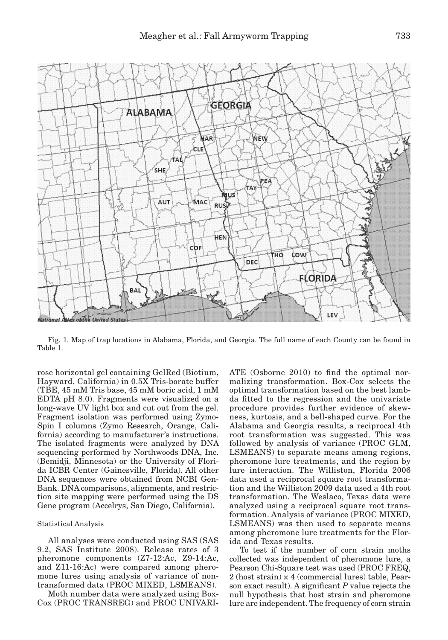

Fig. 1. Map of trap locations in Alabama, Florida, and Georgia. The full name of each County can be found in Table 1.

rose horizontal gel containing GelRed (Biotium, Hayward, California) in 0.5X Tris-borate buffer (TBE, 45 mM Tris base, 45 mM boric acid, 1 mM EDTA pH 8.0). Fragments were visualized on a long-wave UV light box and cut out from the gel. Fragment isolation was performed using Zymo-Spin I columns (Zymo Research, Orange, California) according to manufacturer's instructions. The isolated fragments were analyzed by DNA sequencing performed by Northwoods DNA, Inc. (Bemidji, Minnesota) or the University of Florida ICBR Center (Gainesville, Florida). All other DNA sequences were obtained from NCBI Gen-Bank. DNA comparisons, alignments, and restriction site mapping were performed using the DS Gene program (Accelrys, San Diego, California).

#### Statistical Analysis

All analyses were conducted using SAS (SAS 9.2, SAS Institute 2008). Release rates of 3 pheromone components (Z7-12:Ac, Z9-14:Ac, and Z11-16:Ac) were compared among pheromone lures using analysis of variance of nontransformed data (PROC MIXED, LSMEANS).

Moth number data were analyzed using Box-Cox (PROC TRANSREG) and PROC UNIVARI- ATE (Osborne 2010) to find the optimal normalizing transformation. Box-Cox selects the optimal transformation based on the best lambda fitted to the regression and the univariate procedure provides further evidence of skewness, kurtosis, and a bell-shaped curve. For the Alabama and Georgia results, a reciprocal 4th root transformation was suggested. This was followed by analysis of variance (PROC GLM, LSMEANS) to separate means among regions, pheromone lure treatments, and the region by lure interaction. The Williston, Florida 2006 data used a reciprocal square root transformation and the Williston 2009 data used a 4th root transformation. The Weslaco, Texas data were analyzed using a reciprocal square root transformation. Analysis of variance (PROC MIXED, LSMEANS) was then used to separate means among pheromone lure treatments for the Florida and Texas results.

To test if the number of corn strain moths collected was independent of pheromone lure, a Pearson Chi-Square test was used (PROC FREQ, 2 (host strain) × 4 (commercial lures) table, Pearson exact result). A significant *P* value rejects the null hypothesis that host strain and pheromone lure are independent. The frequency of corn strain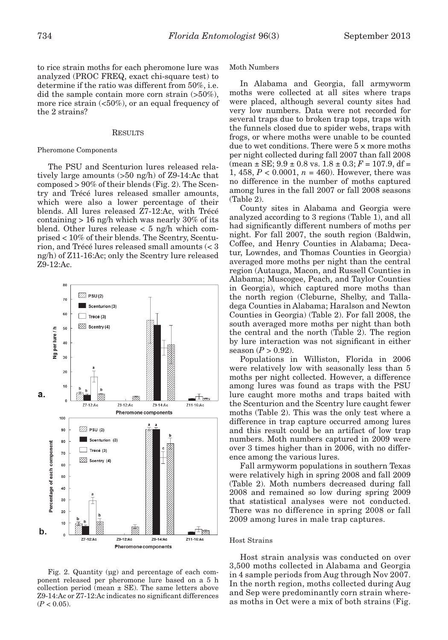to rice strain moths for each pheromone lure was analyzed (PROC FREQ, exact chi-square test) to determine if the ratio was different from 50%, i.e. did the sample contain more corn strain (>50%), more rice strain  $\left( < 50\% \right)$ , or an equal frequency of the 2 strains?

## **RESULTS**

#### Pheromone Components

The PSU and Scenturion lures released relatively large amounts (>50 ng/h) of Z9-14:Ac that composed > 90% of their blends (Fig. 2). The Scentry and Trécé lures released smaller amounts, which were also a lower percentage of their blends. All lures released Z7-12:Ac, with Trécé containing > 16 ng/h which was nearly 30% of its blend. Other lures release < 5 ng/h which comprised < 10% of their blends. The Scentry, Scenturion, and Trécé lures released small amounts (< 3 ng/h) of Z11-16:Ac; only the Scentry lure released Z9-12:Ac.



Fig. 2. Quantity (µg) and percentage of each component released per pheromone lure based on a 5 h collection period (mean  $\pm$  SE). The same letters above Z9-14:Ac or Z7-12:Ac indicates no significant differences  $(P < 0.05)$ .

#### Moth Numbers

In Alabama and Georgia, fall armyworm moths were collected at all sites where traps were placed, although several county sites had very low numbers. Data were not recorded for several traps due to broken trap tops, traps with the funnels closed due to spider webs, traps with frogs, or where moths were unable to be counted due to wet conditions. There were  $5 \times$  more moths per night collected during fall 2007 than fall 2008  $(\text{mean} \pm \text{SE}; 9.9 \pm 0.8 \text{ vs. } 1.8 \pm 0.3; F = 107.9, df =$ 1, 458,  $P < 0.0001$ ,  $n = 460$ ). However, there was no difference in the number of moths captured among lures in the fall 2007 or fall 2008 seasons (Table 2).

County sites in Alabama and Georgia were analyzed according to 3 regions (Table 1), and all had significantly different numbers of moths per night. For fall 2007, the south region (Baldwin, Coffee, and Henry Counties in Alabama; Decatur, Lowndes, and Thomas Counties in Georgia) averaged more moths per night than the central region (Autauga, Macon, and Russell Counties in Alabama; Muscogee, Peach, and Taylor Counties in Georgia), which captured more moths than the north region (Cleburne, Shelby, and Talladega Counties in Alabama; Haralson and Newton Counties in Georgia) (Table 2). For fall 2008, the south averaged more moths per night than both the central and the north (Table 2). The region by lure interaction was not significant in either season  $(P > 0.92)$ .

Populations in Williston, Florida in 2006 were relatively low with seasonally less than 5 moths per night collected. However, a difference among lures was found as traps with the PSU lure caught more moths and traps baited with the Scenturion and the Scentry lure caught fewer moths (Table 2). This was the only test where a difference in trap capture occurred among lures and this result could be an artifact of low trap numbers. Moth numbers captured in 2009 were over 3 times higher than in 2006, with no difference among the various lures.

Fall armyworm populations in southern Texas were relatively high in spring 2008 and fall 2009 (Table 2). Moth numbers decreased during fall 2008 and remained so low during spring 2009 that statistical analyses were not conducted. There was no difference in spring 2008 or fall 2009 among lures in male trap captures.

#### Host Strains

Host strain analysis was conducted on over 3,500 moths collected in Alabama and Georgia in 4 sample periods from Aug through Nov 2007. In the north region, moths collected during Aug and Sep were predominantly corn strain whereas moths in Oct were a mix of both strains (Fig.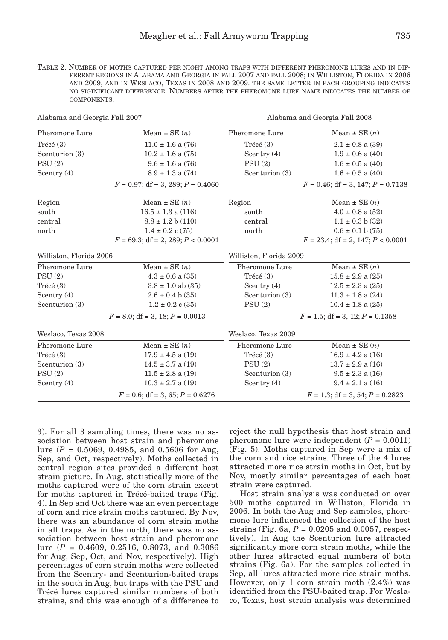Table 2. Number of moths captured per night among traps with different pheromone lures and in different regions in Alabama and Georgia in fall 2007 and fall 2008; in Williston, Florida in 2006 and 2009, and in Weslaco, Texas in 2008 and 2009. the same letter in each grouping indicates no siginificant difference. Numbers after the pheromone lure name indicates the number of components.

| Alabama and Georgia Fall 2007 |                                        | Alabama and Georgia Fall 2008 |                                        |
|-------------------------------|----------------------------------------|-------------------------------|----------------------------------------|
| Pheromone Lure                | Mean $\pm$ SE $(n)$                    | Pheromone Lure                | Mean $\pm$ SE $(n)$                    |
| Trécé $(3)$                   | $11.0 \pm 1.6$ a (76)                  | Trécé(3)                      | $2.1\pm0.8$ a $(39)$                   |
| Scenturion (3)                | $10.2 \pm 1.6$ a (75)                  | Scentry $(4)$                 | $1.9 \pm 0.6$ a (40)                   |
| PSU(2)                        | $9.6 \pm 1.6$ a (76)                   | PSU(2)                        | $1.6 \pm 0.5$ a (40)                   |
| Scentry $(4)$                 | $8.9 \pm 1.3$ a (74)                   | Scenturion (3)                | $1.6 \pm 0.5$ a (40)                   |
|                               | $F = 0.97$ ; df = 3, 289; $P = 0.4060$ |                               | $F = 0.46$ ; df = 3, 147; $P = 0.7138$ |
| Region                        | Mean $\pm$ SE $(n)$                    | Region                        | Mean $\pm$ SE $(n)$                    |
| south                         | $16.5 \pm 1.3$ a (116)                 | south                         | $4.0 \pm 0.8$ a (52)                   |
| central                       | $8.8 \pm 1.2$ b (110)                  | central                       | $1.1 \pm 0.3$ b (32)                   |
| north                         | $1.4 \pm 0.2$ c (75)                   | north                         | $0.6 \pm 0.1$ b (75)                   |
|                               | $F = 69.3$ ; df = 2, 289; $P < 0.0001$ |                               | $F = 23.4$ ; df = 2, 147; $P < 0.0001$ |
| Williston, Florida 2006       |                                        | Williston, Florida 2009       |                                        |
| Pheromone Lure                | Mean $\pm$ SE $(n)$                    | Pheromone Lure                | Mean $\pm$ SE $(n)$                    |
| PSU(2)                        | $4.3 \pm 0.6$ a (35)                   | Trécé (3)                     | $15.8 \pm 2.9$ a (25)                  |
| Trécé(3)                      | $3.8 \pm 1.0$ ab $(35)$                | Scentry $(4)$                 | $12.5 \pm 2.3$ a (25)                  |
| Scentry $(4)$                 | $2.6 \pm 0.4$ b (35)                   | Scenturion (3)                | $11.3 \pm 1.8$ a (24)                  |
| Scenturion (3)                | $1.2 \pm 0.2$ c (35)                   | PSU(2)                        | $10.4 \pm 1.8$ a (25)                  |
|                               | $F = 8.0$ ; df = 3, 18; $P = 0.0013$   |                               | $F = 1.5$ ; df = 3, 12; $P = 0.1358$   |
| Weslaco, Texas 2008           |                                        | Weslaco, Texas 2009           |                                        |
| Pheromone Lure                | Mean $\pm$ SE $(n)$                    | Pheromone Lure                | Mean $\pm$ SE $(n)$                    |
| Trécé(3)                      | $17.9 \pm 4.5$ a (19)                  | Trécé(3)                      | $16.9 \pm 4.2$ a (16)                  |
| Scenturion (3)                | $14.5 \pm 3.7$ a (19)                  | PSU(2)                        | $13.7 \pm 2.9$ a (16)                  |
| PSU(2)                        | $11.5 \pm 2.8$ a (19)                  | Scenturion (3)                | $9.5 \pm 2.3$ a (16)                   |
| Scentry $(4)$                 | $10.3 \pm 2.7$ a (19)                  | Scentry $(4)$                 | $9.4 \pm 2.1$ a $(16)$                 |
|                               | $F = 0.6$ ; df = 3, 65; $P = 0.6276$   |                               | $F = 1.3$ ; df = 3, 54; $P = 0.2823$   |

3). For all 3 sampling times, there was no association between host strain and pheromone lure  $(P = 0.5069, 0.4985,$  and 0.5606 for Aug, Sep, and Oct, respectively). Moths collected in central region sites provided a different host strain picture. In Aug, statistically more of the moths captured were of the corn strain except for moths captured in Trécé-baited traps (Fig. 4). In Sep and Oct there was an even percentage of corn and rice strain moths captured. By Nov, there was an abundance of corn strain moths in all traps. As in the north, there was no association between host strain and pheromone lure (*P* = 0.4609, 0.2516, 0.8073, and 0.3086 for Aug, Sep, Oct, and Nov, respectively). High percentages of corn strain moths were collected from the Scentry- and Scenturion-baited traps in the south in Aug, but traps with the PSU and Trécé lures captured similar numbers of both strains, and this was enough of a difference to

reject the null hypothesis that host strain and pheromone lure were independent  $(P = 0.0011)$ (Fig. 5). Moths captured in Sep were a mix of the corn and rice strains. Three of the 4 lures attracted more rice strain moths in Oct, but by Nov, mostly similar percentages of each host strain were captured.

Host strain analysis was conducted on over 500 moths captured in Williston, Florida in 2006. In both the Aug and Sep samples, pheromone lure influenced the collection of the host strains (Fig. 6a, *P* = 0.0205 and 0.0057, respectively). In Aug the Scenturion lure attracted significantly more corn strain moths, while the other lures attracted equal numbers of both strains (Fig. 6a). For the samples collected in Sep, all lures attracted more rice strain moths. However, only 1 corn strain moth (2.4%) was identified from the PSU-baited trap. For Weslaco, Texas, host strain analysis was determined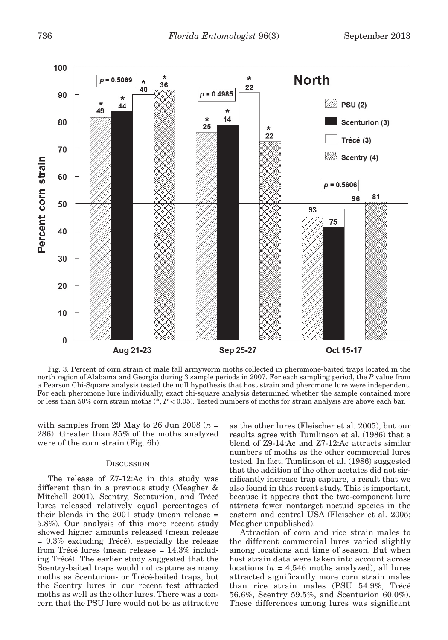

Fig. 3. Percent of corn strain of male fall armyworm moths collected in pheromone-baited traps located in the north region of Alabama and Georgia during 3 sample periods in 2007. For each sampling period, the *P* value from a Pearson Chi-Square analysis tested the null hypothesis that host strain and pheromone lure were independent. For each pheromone lure individually, exact chi-square analysis determined whether the sample contained more or less than 50% corn strain moths (\*, *P* < 0.05). Tested numbers of moths for strain analysis are above each bar.

with samples from 29 May to 26 Jun 2008  $(n =$ 286). Greater than 85% of the moths analyzed were of the corn strain (Fig. 6b).

## **DISCUSSION**

The release of Z7-12:Ac in this study was different than in a previous study (Meagher & Mitchell 2001). Scentry, Scenturion, and Trécé lures released relatively equal percentages of their blends in the 2001 study (mean release = 5.8%). Our analysis of this more recent study showed higher amounts released (mean release = 9.3% excluding Trécé), especially the release from Trécé lures (mean release = 14.3% including Trécé). The earlier study suggested that the Scentry-baited traps would not capture as many moths as Scenturion- or Trécé-baited traps, but the Scentry lures in our recent test attracted moths as well as the other lures. There was a concern that the PSU lure would not be as attractive

as the other lures (Fleischer et al. 2005), but our results agree with Tumlinson et al. (1986) that a blend of Z9-14:Ac and Z7-12:Ac attracts similar numbers of moths as the other commercial lures tested. In fact, Tumlinson et al. (1986) suggested that the addition of the other acetates did not significantly increase trap capture, a result that we also found in this recent study. This is important, because it appears that the two-component lure attracts fewer nontarget noctuid species in the eastern and central USA (Fleischer et al. 2005; Meagher unpublished).

Attraction of corn and rice strain males to the different commercial lures varied slightly among locations and time of season. But when host strain data were taken into account across locations  $(n = 4,546 \text{ moths analyzed})$ , all lures attracted significantly more corn strain males than rice strain males (PSU 54.9%, Trécé 56.6%, Scentry 59.5%, and Scenturion 60.0%). These differences among lures was significant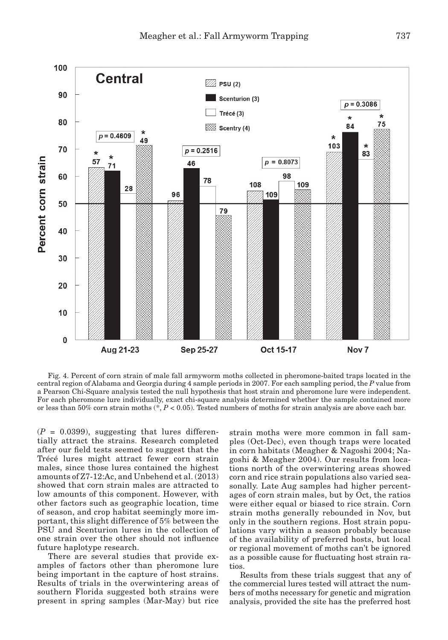

Fig. 4. Percent of corn strain of male fall armyworm moths collected in pheromone-baited traps located in the central region of Alabama and Georgia during 4 sample periods in 2007. For each sampling period, the *P* value from a Pearson Chi-Square analysis tested the null hypothesis that host strain and pheromone lure were independent. For each pheromone lure individually, exact chi-square analysis determined whether the sample contained more or less than 50% corn strain moths (\*, *P* < 0.05). Tested numbers of moths for strain analysis are above each bar.

 $(P = 0.0399)$ , suggesting that lures differentially attract the strains. Research completed after our field tests seemed to suggest that the Trécé lures might attract fewer corn strain males, since those lures contained the highest amounts of Z7-12:Ac, and Unbehend et al. (2013) showed that corn strain males are attracted to low amounts of this component. However, with other factors such as geographic location, time of season, and crop habitat seemingly more important, this slight difference of 5% between the PSU and Scenturion lures in the collection of one strain over the other should not influence future haplotype research.

There are several studies that provide examples of factors other than pheromone lure being important in the capture of host strains. Results of trials in the overwintering areas of southern Florida suggested both strains were present in spring samples (Mar-May) but rice

strain moths were more common in fall samples (Oct-Dec), even though traps were located in corn habitats (Meagher & Nagoshi 2004; Nagoshi & Meagher 2004). Our results from locations north of the overwintering areas showed corn and rice strain populations also varied seasonally. Late Aug samples had higher percentages of corn strain males, but by Oct, the ratios were either equal or biased to rice strain. Corn strain moths generally rebounded in Nov, but only in the southern regions. Host strain populations vary within a season probably because of the availability of preferred hosts, but local or regional movement of moths can't be ignored as a possible cause for fluctuating host strain ratios.

Results from these trials suggest that any of the commercial lures tested will attract the numbers of moths necessary for genetic and migration analysis, provided the site has the preferred host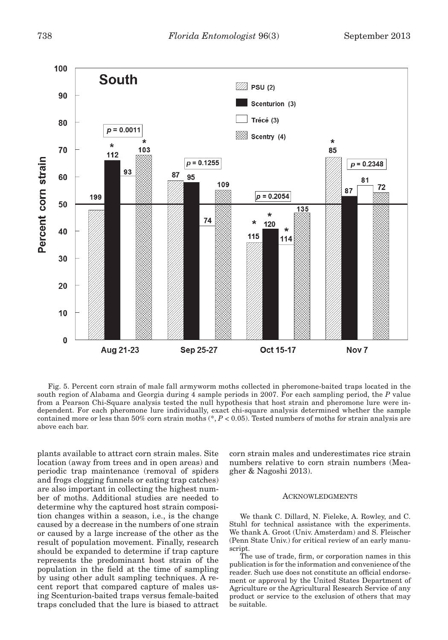

Fig. 5. Percent corn strain of male fall armyworm moths collected in pheromone-baited traps located in the south region of Alabama and Georgia during 4 sample periods in 2007. For each sampling period, the *P* value from a Pearson Chi-Square analysis tested the null hypothesis that host strain and pheromone lure were independent. For each pheromone lure individually, exact chi-square analysis determined whether the sample contained more or less than 50% corn strain moths (\*, *P* < 0.05). Tested numbers of moths for strain analysis are above each bar.

plants available to attract corn strain males. Site location (away from trees and in open areas) and periodic trap maintenance (removal of spiders and frogs clogging funnels or eating trap catches) are also important in collecting the highest number of moths. Additional studies are needed to determine why the captured host strain composition changes within a season, i.e., is the change caused by a decrease in the numbers of one strain or caused by a large increase of the other as the result of population movement. Finally, research should be expanded to determine if trap capture represents the predominant host strain of the population in the field at the time of sampling by using other adult sampling techniques. A recent report that compared capture of males using Scenturion-baited traps versus female-baited traps concluded that the lure is biased to attract

corn strain males and underestimates rice strain numbers relative to corn strain numbers (Meagher & Nagoshi 2013).

#### ACKNOWLEDGMENTS

We thank C. Dillard, N. Fieleke, A. Rowley, and C. Stuhl for technical assistance with the experiments. We thank A. Groot (Univ. Amsterdam) and S. Fleischer (Penn State Univ.) for critical review of an early manuscript.

The use of trade, firm, or corporation names in this publication is for the information and convenience of the reader. Such use does not constitute an official endorsement or approval by the United States Department of Agriculture or the Agricultural Research Service of any product or service to the exclusion of others that may be suitable.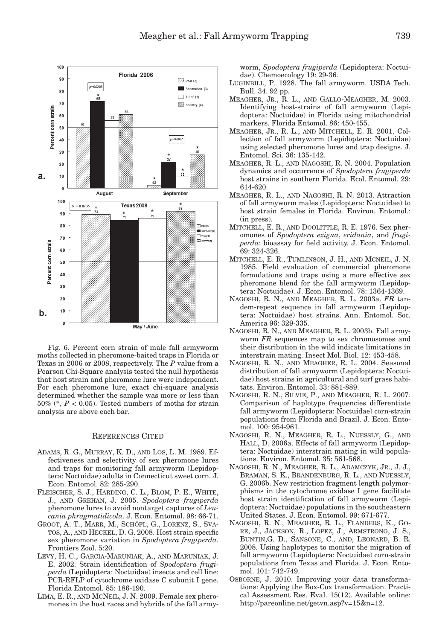

Fig. 6. Percent corn strain of male fall armyworm moths collected in pheromone-baited traps in Florida or Texas in 2006 or 2008, respectively. The *P* value from a Pearson Chi-Square analysis tested the null hypothesis that host strain and pheromone lure were independent. For each pheromone lure, exact chi-square analysis determined whether the sample was more or less than 50% (\*, *P* < 0.05). Tested numbers of moths for strain analysis are above each bar.

## References Cited

- Adams, R. G., Murray, K. D., and Los, L. M. 1989. Effectiveness and selectivity of sex pheromone lures and traps for monitoring fall armyworm (Lepidoptera: Noctuidae) adults in Connecticut sweet corn. J. Econ. Entomol. 82: 285-290.
- Fleischer, S. J., Harding, C. L., Blom, P. E., White, J., and Grehan, J. 2005. *Spodoptera frugiperda* pheromone lures to avoid nontarget captures of *Leucania phragmatidicola*. J. Econ. Entomol. 98: 66-71.
- Groot, A. T., Marr, M., Schöfl, G., Lorenz, S., Svatos, A., and Heckel, D. G. 2008. Host strain specific sex pheromone variation in *Spodoptera frugiperda*. Frontiers Zool. 5:20.
- Levy, H. C., Garcia-Maruniak, A., and Maruniak, J. E. 2002. Strain identification of *Spodoptera frugiperda* (Lepidoptera: Noctuidae) insects and cell line: PCR-RFLP of cytochrome oxidase C subunit I gene. Florida Entomol. 85: 186-190.
- LIMA, E. R., AND MCNEIL, J. N. 2009. Female sex pheromones in the host races and hybrids of the fall army-

worm, *Spodoptera frugiperda* (Lepidoptera: Noctuidae). Chemoecology 19: 29-36.

- Luginbill, P. 1928. The fall armyworm. USDA Tech. Bull. 34. 92 pp.
- Meagher, Jr., R. L., and Gallo-Meagher, M. 2003. Identifying host-strains of fall armyworm (Lepidoptera: Noctuidae) in Florida using mitochondrial markers. Florida Entomol. 86: 450-455.
- Meagher, Jr., R. L., and Mitchell, E. R. 2001. Collection of fall armyworm (Lepidoptera: Noctuidae) using selected pheromone lures and trap designs. J. Entomol. Sci. 36: 135-142.
- Meagher, R. L., and Nagoshi, R. N. 2004. Population dynamics and occurrence of *Spodoptera frugiperda* host strains in southern Florida. Ecol. Entomol. 29: 614-620.
- Meagher, R. L., and Nagoshi, R. N. 2013. Attraction of fall armyworm males (Lepidoptera: Noctuidae) to host strain females in Florida. Environ. Entomol.: (in press).
- Mitchell, E. R., and Doolittle, R. E. 1976. Sex pheromones of *Spodoptera exigua*, *eridania*, and *frugiperda*: bioassay for field activity. J. Econ. Entomol. 69: 324-326.
- Mitchell, E. R., Tumlinson, J. H., and Mcneil, J. N. 1985. Field evaluation of commercial pheromone formulations and traps using a more effective sex pheromone blend for the fall armyworm (Lepidoptera: Noctuidae). J. Econ. Entomol. 78: 1364-1369.
- Nagoshi, R. N., and Meagher, R. L. 2003a. *FR* tandem-repeat sequence in fall armyworm (Lepidoptera: Noctuidae) host strains. Ann. Entomol. Soc. America 96: 329-335.
- Nagoshi, R. N., and Meagher, R. L. 2003b. Fall armyworm *FR* sequences map to sex chromosomes and their distribution in the wild indicate limitations in interstrain mating. Insect Mol. Biol. 12: 453-458.
- Nagoshi, R. N., and Meagher, R. L. 2004. Seasonal distribution of fall armyworm (Lepidoptera: Noctuidae) host strains in agricultural and turf grass habitats. Environ. Entomol. 33: 881-889.
- Nagoshi, R. N., Silvie, P., and Meagher, R. L. 2007. Comparison of haplotype frequencies differentiate fall armyworm (Lepidoptera: Noctuidae) corn-strain populations from Florida and Brazil. J. Econ. Entomol. 100: 954-961.
- Nagoshi, R. N., Meagher, R. L., Nuessly, G., and HALL, D. 2006a. Effects of fall armyworm (Lepidoptera: Noctuidae) interstrain mating in wild populations. Environ. Entomol. 35: 561-568.
- Nagoshi, R. N., Meagher, R. L., Adamczyk, Jr., J. J., Braman, S. K., Brandenburg, R. L., and Nuessly, G. 2006b. New restriction fragment length polymorphisms in the cytochrome oxidase I gene facilitate host strain identification of fall armyworm (Lepidoptera: Noctuidae) populations in the southeastern United States. J. Econ. Entomol. 99: 671-677.
- Nagoshi, R. N., Meagher, R. L., Flanders, K., Gore, J., Jackson, R., Lopez, J., Armstrong, J. S., Buntin,G. D., Sansone, C., and, Leonard, B. R. 2008. Using haplotypes to monitor the migration of fall armyworm (Lepidoptera: Noctuidae) corn-strain populations from Texas and Florida. J. Econ. Entomol. 101: 742-749.
- Osborne, J. 2010. Improving your data transformations: Applying the Box-Cox transformation. Practical Assessment Res. Eval. 15(12). Available online: http://pareonline.net/getvn.asp?v=15&n=12.